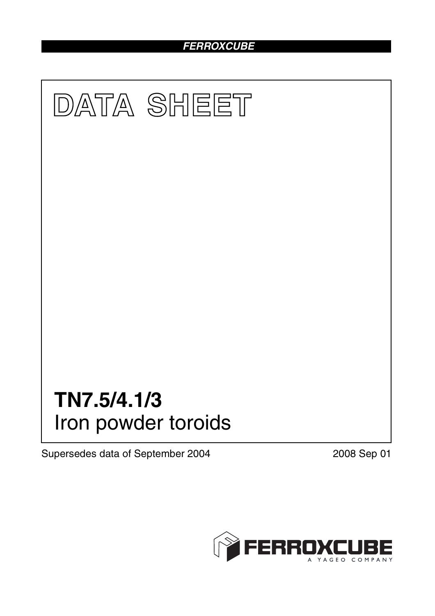# *FERROXCUBE*



Supersedes data of September 2004 2008 Sep 01

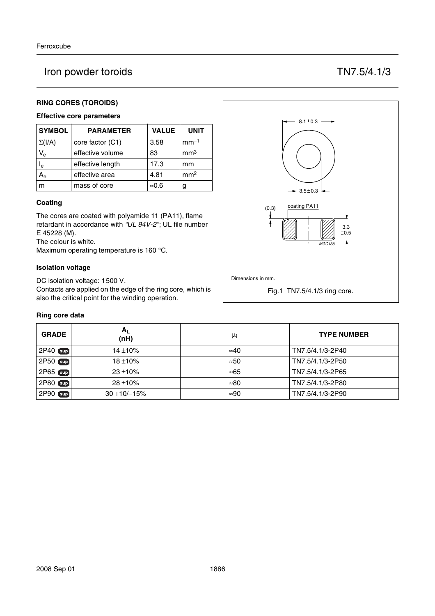# Iron powder toroids TN7.5/4.1/3

## **RING CORES (TOROIDS)**

## **Effective core parameters**

| <b>SYMBOL</b>           | <b>PARAMETER</b> | <b>VALUE</b>  | <b>UNIT</b>     |
|-------------------------|------------------|---------------|-----------------|
| $\Sigma(I/A)$           | core factor (C1) | 3.58          | $mm-1$          |
| $V_{e}$                 | effective volume | 83            | mm <sup>3</sup> |
| $\mathsf{I}_\mathsf{e}$ | effective length | 17.3          | mm              |
|                         | effective area   | 4.81          | mm <sup>2</sup> |
| m                       | mass of core     | $\approx 0.6$ | g               |

#### **Coating**

The cores are coated with polyamide 11 (PA11), flame retardant in accordance with *"UL 94V-2"*; UL file number E 45228 (M).

The colour is white.

Maximum operating temperature is 160 °C.

#### **Isolation voltage**

DC isolation voltage: 1500 V.

Contacts are applied on the edge of the ring core, which is also the critical point for the winding operation.

#### **Ring core data**

| <b>GRADE</b>     | Α <sub>L</sub><br>(nH) | μi           | <b>TYPE NUMBER</b> |
|------------------|------------------------|--------------|--------------------|
| 2P40 sup         | $14 + 10%$             | $\approx 40$ | TN7.5/4.1/3-2P40   |
| 2P50 sup         | $18 + 10\%$            | $\approx 50$ | TN7.5/4.1/3-2P50   |
| 2P65 sup         | $23 + 10%$             | ≈65          | TN7.5/4.1/3-2P65   |
| 2P80<br>$[\sup]$ | $28 + 10%$             | $\approx 80$ | TN7.5/4.1/3-2P80   |
| 2P90<br>[sup]    | $30 + 10/ - 15%$       | $\approx 90$ | TN7.5/4.1/3-2P90   |